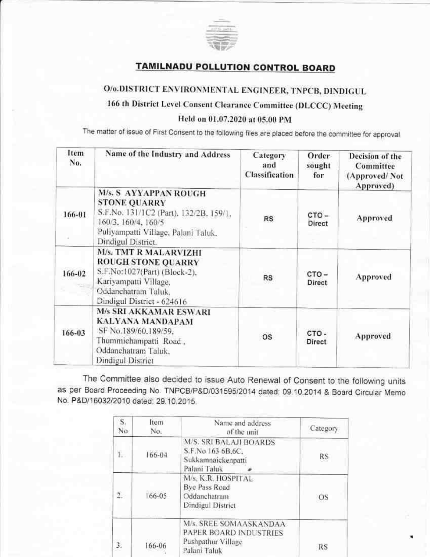

## **TAMILNADU POLLUTION CONTROL BOARD**

# O/o.DISTRICT ENVIRONMENTAL ENGINEER, TNPCB, DINDIGUL

## 166 th District Level Consent Clearance Committee (DLCCC) Meeting

#### Held on 01.07.2020 at 05.00 PM

The matter of issue of First Consent to the following files are placed before the committee for approval.

| Item<br>No. | Name of the Industry and Address                                                                                                                                           | Category<br>and<br><b>Classification</b> | Order<br>sought<br>for | Decision of the<br>Committee<br>(Approved/Not)<br>Approved) |
|-------------|----------------------------------------------------------------------------------------------------------------------------------------------------------------------------|------------------------------------------|------------------------|-------------------------------------------------------------|
| 166-01      | M/s. S AYYAPPAN ROUGH<br><b>STONE QUARRY</b><br>S.F.No. 131/1C2 (Part), 132/2B, 159/1.<br>160/3, 160/4, 160/5<br>Puliyampatti Village, Palani Taluk.<br>Dindigul District. | <b>RS</b>                                | CTO-<br>Direct         | Approved                                                    |
| 166-02      | <b>M/s. TMT R MALARVIZHI</b><br><b>ROUGH STONE QUARRY</b><br>S.F.No:1027(Part) (Block-2).<br>Kariyampatti Village.<br>Oddanchatram Taluk,<br>Dindigul District - 624616    | <b>RS</b>                                | $CTO -$<br>Direct      | Approved                                                    |
| 166-03      | <b>M/s SRI AKKAMAR ESWARI</b><br>KALYANA MANDAPAM<br>SF No.189/60.189/59.<br>Thummichampatti Road,<br>Oddanchatram Taluk,<br>Dindigul District                             | <b>OS</b>                                | CTO-<br>Direct         | Approved                                                    |

The Committee also decided to issue Auto Renewal of Consent to the following units as per Board Proceeding No. TNPCB/P&D/031595/2014 dated; 09.10.2014 & Board Circular Memo No. P&D/16032/2010 dated: 29.10.2015.

| S.<br>No         | Item<br>No. | Name and address<br>of the unit                                                          | Category |
|------------------|-------------|------------------------------------------------------------------------------------------|----------|
| Ĺ.               | 166-04      | <b>M/S. SRI BALAJI BOARDS</b><br>S.F.No 163 6B.6C.<br>Sukkamnaickenpatti<br>Palani Taluk | RS       |
| $\overline{2}$ . | 166-05      | M/s. K.R. HOSPITAL<br>Bye Pass Road<br>Oddanchatram<br>Dindigul District                 | OS       |
| 3.               | 166-06      | M/s. SREE SOMAASKANDAA<br>PAPER BOARD INDUSTRIES<br>Pushpathur Village<br>Palani Taluk   | RS       |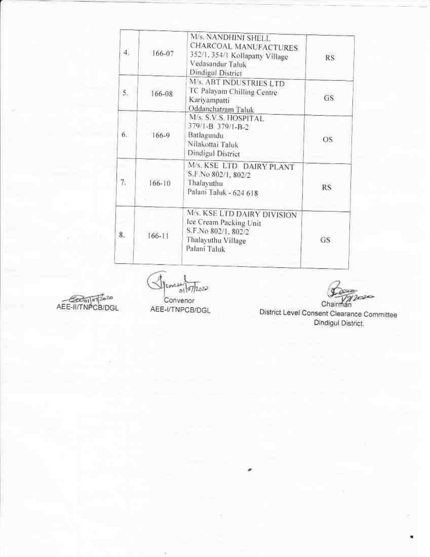| 4. | 166-07     | M/s. NANDHINI SHELL<br>CHARCOAL MANUFACTURES<br>352/1.354/1 Kollapatty Village<br>Vedasandur Taluk<br>Dindigul District | <b>RS</b> |
|----|------------|-------------------------------------------------------------------------------------------------------------------------|-----------|
| 5. | 166-08     | M/s. ABT INDUSTRIES LTD<br>TC Palayam Chilling Centre<br>Kariyampatti<br>Oddanchatram Taluk                             | GS.       |
| 6. | 166-9      | M/s. S.V.S. HOSPITAL<br>379/1-B 379/1-B-2<br>Batlagundu<br>Nilakottai Taluk<br>Dindigul District                        | OS        |
| 7. | $166 - 10$ | M/s. KSE LTD DAIRY PLANT<br>S.F.No 802/1, 802/2<br>Thalayuthu<br>Palani Taluk - 624 618                                 | <b>RS</b> |
| 8. | $166 - 11$ | M/s. KSE LTD DAIRY DIVISION<br>Ice Cream Packing Unit<br>S.F.No 802/1, 802/2<br>Thalayuthu Village<br>Palani Taluk      | GS        |

AEE-II/TNPCB/DGL

 $\bigotimes_{\mathsf{I}}\mathsf{Lnz} \xrightarrow{\mathsf{all}} \overline{\mathsf{07}}\overline{\mathsf{I}}\mathsf{1}\mathsf{0}\mathsf{2}\mathsf{3}\mathsf{0}$ Convenor

 $2020$ Chairman

AEE-I/TNPCB/DGL

District Level Consent Clearance Committee Dindigul District.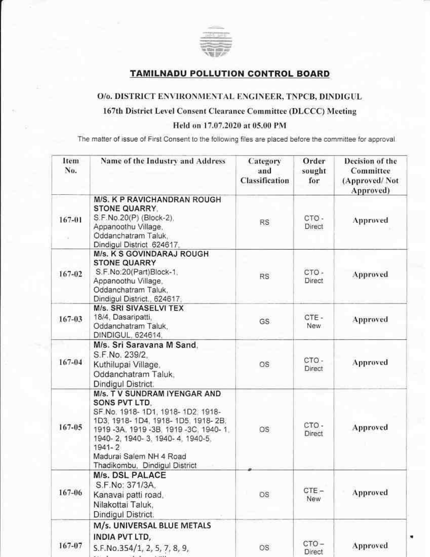

### **TAMILNADU POLLUTION CONTROL BOARD**

#### O/o. DISTRICT ENVIRONMENTAL ENGINEER, TNPCB, DINDIGUL

#### 167th District Level Consent Clearance Committee (DLCCC) Meeting

Held on 17.07.2020 at 05.00 PM

The matter of issue of First Consent to the following files are placed before the committee for approval.

| Item<br>No. | Name of the Industry and Address                                                                                                                                                                                                                                          | Category<br>and<br><b>Classification</b> | Order<br>sought<br>for | Decision of the<br>Committee<br>(Approved/Not<br>Approved) |
|-------------|---------------------------------------------------------------------------------------------------------------------------------------------------------------------------------------------------------------------------------------------------------------------------|------------------------------------------|------------------------|------------------------------------------------------------|
| 167-01      | <b>M/S. K P RAVICHANDRAN ROUGH</b><br><b>STONE QUARRY.</b><br>S.F.No.20(P) (Block-2).<br>Appanoothu Village,<br>Oddanchatram Taluk,<br>Dindigul District 624617,                                                                                                          | <b>RS</b>                                | CTO-<br>Direct         | Approved                                                   |
| 167-02      | M/s. K S GOVINDARAJ ROUGH<br><b>STONE QUARRY</b><br>S.F.No:20(Part)Block-1,<br>Appanoothu Village,<br>Oddanchatram Taluk.<br>Dindigul District., 624617.                                                                                                                  | <b>RS</b>                                | CTO-<br>Direct         | <b>Approved</b>                                            |
| 167-03      | <b>M/s. SRI SIVASELVI TEX</b><br>18/4, Dasaripatti,<br>Oddanchatram Taluk.<br>DINDIGUL, 624614,                                                                                                                                                                           | GS.                                      | CTE-<br>New:           | Approved                                                   |
| $167 - 04$  | M/s. Sri Saravana M Sand.<br>S.F.No. 239/2.<br>Kuthilupai Village,<br>Oddanchatram Taluk,<br>Dindigul District.                                                                                                                                                           | OS                                       | CTO-<br>Direct         | Approved                                                   |
| $167 - 05$  | M/s. T V SUNDRAM IYENGAR AND<br>SONS PVT LTD.<br>SF.No. 1918-1D1, 1918-1D2, 1918-<br>1D3, 1918-1D4, 1918-1D5, 1918-2B,<br>1919-3A, 1919-3B, 1919-3C, 1940-1,<br>1940-2, 1940-3, 1940-4, 1940-5,<br>$1941 - 2$<br>Madurai Salem NH 4 Road<br>Thadikombu, Dindigul District | OS.                                      | CTO-<br>Direct         | Approved                                                   |
| 167-06      | M/s. DSL PALACE<br>S.F.No: 371/3A.<br>Kanavai patti road,<br>Nilakottai Taluk,<br>Dindigul District.                                                                                                                                                                      | OS                                       | CTE-<br>New            | Approved                                                   |
| 167-07      | M/s. UNIVERSAL BLUE METALS<br>INDIA PVT LTD,<br>S.F.No.354/1, 2, 5, 7, 8, 9,                                                                                                                                                                                              | OS.                                      | CTO-<br>Direct         | Approved                                                   |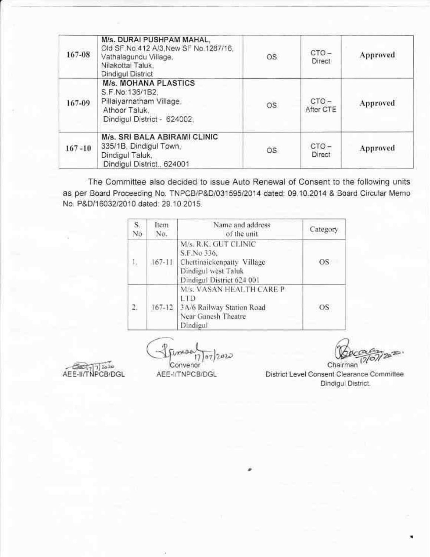| 167-08     | M/s. DURAI PUSHPAM MAHAL.<br>Old SF, No.412 A/3, New SF No.1287/16,<br>Vathalagundu Village.<br>Nilakottai Taluk.<br>Dindigul District | <b>OS</b> | $CTO -$<br>Direct    | Approved |
|------------|----------------------------------------------------------------------------------------------------------------------------------------|-----------|----------------------|----------|
| 167-09     | <b>M/s. MOHANA PLASTICS</b><br>S.F.No.136/1B2.<br>Pillalyarnatham Village.<br>Athoor Taluk.<br>Dindigul District - 624002.             | OS.       | $CTO -$<br>After CTE | Approved |
| $167 - 10$ | M/s. SRI BALA ABIRAMI CLINIC<br>335/1B, Dindigul Town,<br>Dindigul Taluk,<br>Dindigul District., 624001                                | <b>OS</b> | CTO-<br>Direct       | Approved |

The Committee also decided to issue Auto Renewal of Consent to the following units as per Board Proceeding No. TNPCB/P&D/031595/2014 dated: 09.10.2014 & Board Circular Memo No. P&D/16032/2010 dated: 29.10.2015.

| S.<br>No       | Item<br>No. | Name and address<br>of the unit                                                                                       | Category |
|----------------|-------------|-----------------------------------------------------------------------------------------------------------------------|----------|
| 1.             | $167 - 11$  | M/s. R.K. GUT CLINIC<br>S.F.No 336.<br>Chettinaickenpatty Village<br>Dindigul west Taluk<br>Dindigul District 624 001 | OS       |
| $\mathfrak{D}$ | $167 - 12$  | M/s. VASAN HEALTH CARE P<br>LTD<br>3A/6 Railway Station Road<br>Near Ganesh Theatre<br>Dindigul                       | OS       |

from 07/2020  $17$ Convenor

AEE-II/TNPCB/DGL

Chairman

District Level Consent Clearance Committee Dindigul District.

AEE-I/TNPCB/DGL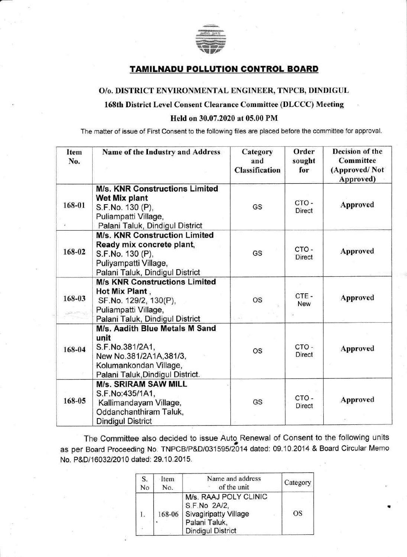

## TAMILNADU POLLUTION CONTROL BOARD

#### O/o. DISTRICT ENVIRONMENTAL ENGINEER, TNPCB, DINDIGUL

### 168th District Level Consent Clearance Committee (DLCCC) Meeting

#### Held on 30.07.2020 at 05.00 PM

The matter of issue of First Consent to the following files are placed before the committee for approval

| Item<br>No. | Name of the Industry and Address                                                                                                                   | Category<br>and<br><b>Classification</b> | Order<br>sought<br>for | Decision of the<br>Committee<br>(Approved/Not)<br>Approved) |
|-------------|----------------------------------------------------------------------------------------------------------------------------------------------------|------------------------------------------|------------------------|-------------------------------------------------------------|
| 168-01      | <b>M/s. KNR Constructions Limited</b><br>Wet Mix plant<br>S.F.No. 130 (P),<br>Puliampatti Village,<br>Palani Taluk, Dindigul District              | GS                                       | CTO-<br><b>Direct</b>  | Approved                                                    |
| 168-02      | <b>M/s. KNR Construction Limited</b><br>Ready mix concrete plant,<br>S.F.No. 130 (P),<br>Puliyampatti Village,<br>Palani Taluk, Dindigul District  | GS                                       | CTO-<br><b>Direct</b>  | Approved                                                    |
| 168-03      | <b>M/s KNR Constructions Limited</b><br>Hot Mix Plant,<br>SF.No. 129/2, 130(P),<br>Puliampatti Village,<br>Palani Taluk, Dindigul District         | OS                                       | CTE-<br>New            | Approved                                                    |
| 168-04      | M/s. Aadith Blue Metals M Sand<br>unit<br>S.F.No.381/2A1,<br>New No.381/2A1A, 381/3,<br>Kolumankondan Village,<br>Palani Taluk, Dindigul District. | <b>OS</b>                                | CTO-<br><b>Direct</b>  | Approved                                                    |
| 168-05      | <b>M/s. SRIRAM SAW MILL</b><br>S.F.No:435/1A1,<br>Kallimandayam Village,<br>Oddanchanthiram Taluk,<br><b>Dindigul District</b>                     | GS                                       | CTO-<br>Direct         | Approved                                                    |

The Committee also decided to issue Auto, Renewal of Consent to the following units as per Board Proceeding No. TNPCB/P&D/03159512014 dated: 09.10.2014 & Board Circular Memo No. P&D/16032/2010 dated: 29.10.2015.

| S. | Item | Name and address                                                                                                   | Category  |
|----|------|--------------------------------------------------------------------------------------------------------------------|-----------|
| No | No.  | of the unit                                                                                                        |           |
|    |      | M/s. RAAJ POLY CLINIC<br>S.F.No 2A/2,<br>168-06 Sivagiripatty Village<br>Palani Taluk,<br><b>Dindigul District</b> | <b>OS</b> |